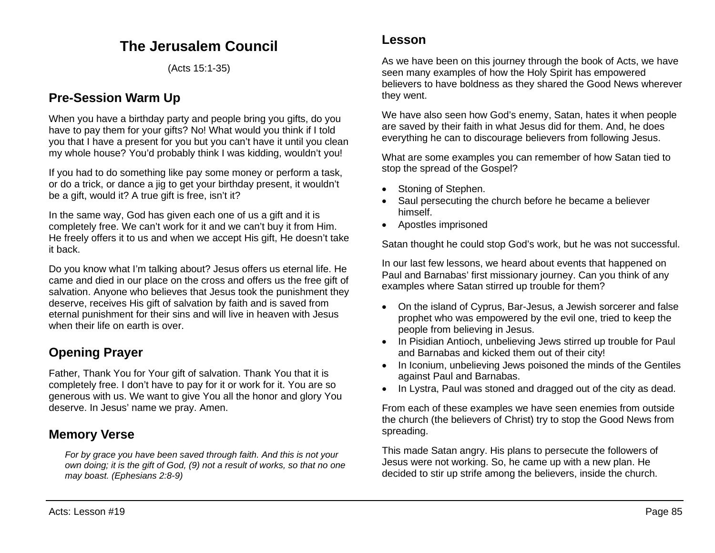# **The Jerusalem Council**

(Acts 15:1-35)

### **Pre-Session Warm Up**

When you have a birthday party and people bring you gifts, do you have to pay them for your gifts? No! What would you think if I told you that I have a present for you but you can't have it until you clean my whole house? You'd probably think I was kidding, wouldn't you!

If you had to do something like pay some money or perform a task, or do a trick, or dance a jig to get your birthday present, it wouldn't be a gift, would it? A true gift is free, isn't it?

In the same way, God has given each one of us a gift and it is completely free. We can't work for it and we can't buy it from Him. He freely offers it to us and when we accept His gift, He doesn't take it back.

Do you know what I'm talking about? Jesus offers us eternal life. He came and died in our place on the cross and offers us the free gift of salvation. Anyone who believes that Jesus took the punishment they deserve, receives His gift of salvation by faith and is saved from eternal punishment for their sins and will live in heaven with Jesus when their life on earth is over.

# **Opening Prayer**

Father, Thank You for Your gift of salvation. Thank You that it is completely free. I don't have to pay for it or work for it. You are so generous with us. We want to give You all the honor and glory You deserve. In Jesus' name we pray. Amen.

## **Memory Verse**

*For by grace you have been saved through faith. And this is not your own doing; it is the gift of God, (9) not a result of works, so that no one may boast. (Ephesians 2:8-9)*

As we have been on this journey through the book of Acts, we have seen many examples of how the Holy Spirit has empowered believers to have boldness as they shared the Good News wherever they went.

We have also seen how God's enemy, Satan, hates it when people are saved by their faith in what Jesus did for them. And, he does everything he can to discourage believers from following Jesus.

What are some examples you can remember of how Satan tied to stop the spread of the Gospel?

- Stoning of Stephen.
- Saul persecuting the church before he became a believer himself.
- Apostles imprisoned

Satan thought he could stop God's work, but he was not successful.

In our last few lessons, we heard about events that happened on Paul and Barnabas' first missionary journey. Can you think of any examples where Satan stirred up trouble for them?

- On the island of Cyprus, Bar-Jesus, a Jewish sorcerer and false prophet who was empowered by the evil one, tried to keep the people from believing in Jesus.
- In Pisidian Antioch, unbelieving Jews stirred up trouble for Paul and Barnabas and kicked them out of their city!
- In Iconium, unbelieving Jews poisoned the minds of the Gentiles against Paul and Barnabas.
- In Lystra, Paul was stoned and dragged out of the city as dead.

From each of these examples we have seen enemies from outside the church (the believers of Christ) try to stop the Good News from spreading.

This made Satan angry. His plans to persecute the followers of Jesus were not working. So, he came up with a new plan. He decided to stir up strife among the believers, inside the church.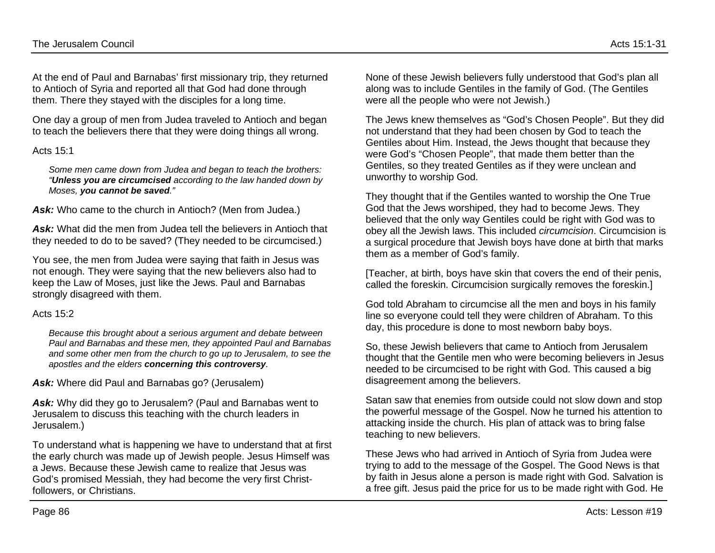At the end of Paul and Barnabas' first missionary trip, they returned to Antioch of Syria and reported all that God had done through them. There they stayed with the disciples for a long time.

One day a group of men from Judea traveled to Antioch and began to teach the believers there that they were doing things all wrong.

#### Acts 15:1

*Some men came down from Judea and began to teach the brothers: "Unless you are circumcised according to the law handed down by Moses, you cannot be saved."*

Ask: Who came to the church in Antioch? (Men from Judea.)

Ask: What did the men from Judea tell the believers in Antioch that they needed to do to be saved? (They needed to be circumcised.)

You see, the men from Judea were saying that faith in Jesus was not enough. They were saying that the new believers also had to keep the Law of Moses, just like the Jews. Paul and Barnabas strongly disagreed with them.

#### Acts 15:2

*Because this brought about a serious argument and debate between Paul and Barnabas and these men, they appointed Paul and Barnabas and some other men from the church to go up to Jerusalem, to see the apostles and the elders concerning this controversy.*

Ask: Where did Paul and Barnabas go? (Jerusalem)

Ask: Why did they go to Jerusalem? (Paul and Barnabas went to Jerusalem to discuss this teaching with the church leaders in Jerusalem.)

To understand what is happening we have to understand that at first the early church was made up of Jewish people. Jesus Himself was a Jews. Because these Jewish came to realize that Jesus was God's promised Messiah, they had become the very first Christfollowers, or Christians.

None of these Jewish believers fully understood that God's plan all along was to include Gentiles in the family of God. (The Gentiles were all the people who were not Jewish.)

The Jews knew themselves as "God's Chosen People". But they did not understand that they had been chosen by God to teach the Gentiles about Him. Instead, the Jews thought that because they were God's "Chosen People", that made them better than the Gentiles, so they treated Gentiles as if they were unclean and unworthy to worship God.

They thought that if the Gentiles wanted to worship the One True God that the Jews worshiped, they had to become Jews. They believed that the only way Gentiles could be right with God was to obey all the Jewish laws. This included *circumcision*. Circumcision is a surgical procedure that Jewish boys have done at birth that marks them as a member of God's family.

[Teacher, at birth, boys have skin that covers the end of their penis, called the foreskin. Circumcision surgically removes the foreskin.]

God told Abraham to circumcise all the men and boys in his family line so everyone could tell they were children of Abraham. To this day, this procedure is done to most newborn baby boys.

So, these Jewish believers that came to Antioch from Jerusalem thought that the Gentile men who were becoming believers in Jesus needed to be circumcised to be right with God. This caused a big disagreement among the believers.

Satan saw that enemies from outside could not slow down and stop the powerful message of the Gospel. Now he turned his attention to attacking inside the church. His plan of attack was to bring false teaching to new believers.

These Jews who had arrived in Antioch of Syria from Judea were trying to add to the message of the Gospel. The Good News is that by faith in Jesus alone a person is made right with God. Salvation is a free gift. Jesus paid the price for us to be made right with God. He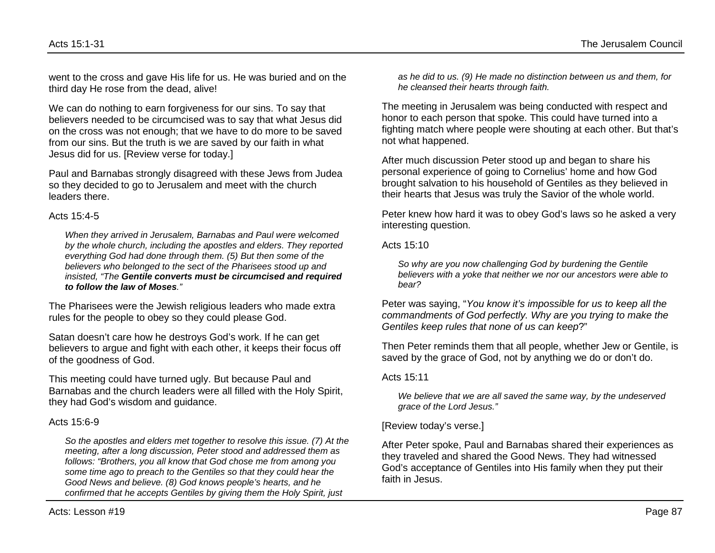went to the cross and gave His life for us. He was buried and on the third day He rose from the dead, alive!

We can do nothing to earn forgiveness for our sins. To say that believers needed to be circumcised was to say that what Jesus did on the cross was not enough; that we have to do more to be saved from our sins. But the truth is we are saved by our faith in what Jesus did for us. [Review verse for today.]

Paul and Barnabas strongly disagreed with these Jews from Judea so they decided to go to Jerusalem and meet with the church leaders there.

#### Acts 15:4-5

*When they arrived in Jerusalem, Barnabas and Paul were welcomed by the whole church, including the apostles and elders. They reported everything God had done through them. (5) But then some of the believers who belonged to the sect of the Pharisees stood up and insisted, "The Gentile converts must be circumcised and required to follow the law of Moses."*

The Pharisees were the Jewish religious leaders who made extra rules for the people to obey so they could please God.

Satan doesn't care how he destroys God's work. If he can get believers to argue and fight with each other, it keeps their focus off of the goodness of God.

This meeting could have turned ugly. But because Paul and Barnabas and the church leaders were all filled with the Holy Spirit, they had God's wisdom and guidance.

#### Acts 15:6-9

*So the apostles and elders met together to resolve this issue. (7) At the meeting, after a long discussion, Peter stood and addressed them as follows: "Brothers, you all know that God chose me from among you some time ago to preach to the Gentiles so that they could hear the Good News and believe. (8) God knows people's hearts, and he confirmed that he accepts Gentiles by giving them the Holy Spirit, just* 

*as he did to us. (9) He made no distinction between us and them, for he cleansed their hearts through faith.*

The meeting in Jerusalem was being conducted with respect and honor to each person that spoke. This could have turned into a fighting match where people were shouting at each other. But that's not what happened.

After much discussion Peter stood up and began to share his personal experience of going to Cornelius' home and how God brought salvation to his household of Gentiles as they believed in their hearts that Jesus was truly the Savior of the whole world.

Peter knew how hard it was to obey God's laws so he asked a very interesting question.

Acts 15:10

*So why are you now challenging God by burdening the Gentile believers with a yoke that neither we nor our ancestors were able to bear?*

Peter was saying, "*You know it's impossible for us to keep all the commandments of God perfectly. Why are you trying to make the Gentiles keep rules that none of us can keep*?"

Then Peter reminds them that all people, whether Jew or Gentile, is saved by the grace of God, not by anything we do or don't do.

#### Acts 15:11

*We believe that we are all saved the same way, by the undeserved grace of the Lord Jesus."*

#### [Review today's verse.]

After Peter spoke, Paul and Barnabas shared their experiences as they traveled and shared the Good News. They had witnessed God's acceptance of Gentiles into His family when they put their faith in Jesus.